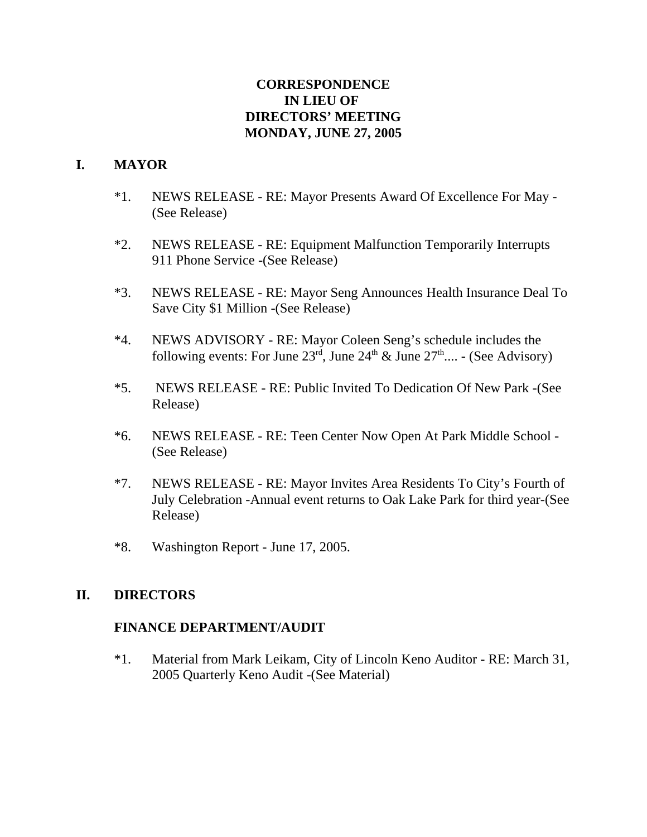# **CORRESPONDENCE IN LIEU OF DIRECTORS' MEETING MONDAY, JUNE 27, 2005**

# **I. MAYOR**

- \*1. NEWS RELEASE RE: Mayor Presents Award Of Excellence For May (See Release)
- \*2. NEWS RELEASE RE: Equipment Malfunction Temporarily Interrupts 911 Phone Service -(See Release)
- \*3. NEWS RELEASE RE: Mayor Seng Announces Health Insurance Deal To Save City \$1 Million -(See Release)
- \*4. NEWS ADVISORY RE: Mayor Coleen Seng's schedule includes the following events: For June  $23<sup>rd</sup>$ , June  $24<sup>th</sup>$  & June  $27<sup>th</sup>$ .... - (See Advisory)
- \*5. NEWS RELEASE RE: Public Invited To Dedication Of New Park -(See Release)
- \*6. NEWS RELEASE RE: Teen Center Now Open At Park Middle School (See Release)
- \*7. NEWS RELEASE RE: Mayor Invites Area Residents To City's Fourth of July Celebration -Annual event returns to Oak Lake Park for third year-(See Release)
- \*8. Washington Report June 17, 2005.

## **II. DIRECTORS**

## **FINANCE DEPARTMENT/AUDIT**

\*1. Material from Mark Leikam, City of Lincoln Keno Auditor - RE: March 31, 2005 Quarterly Keno Audit -(See Material)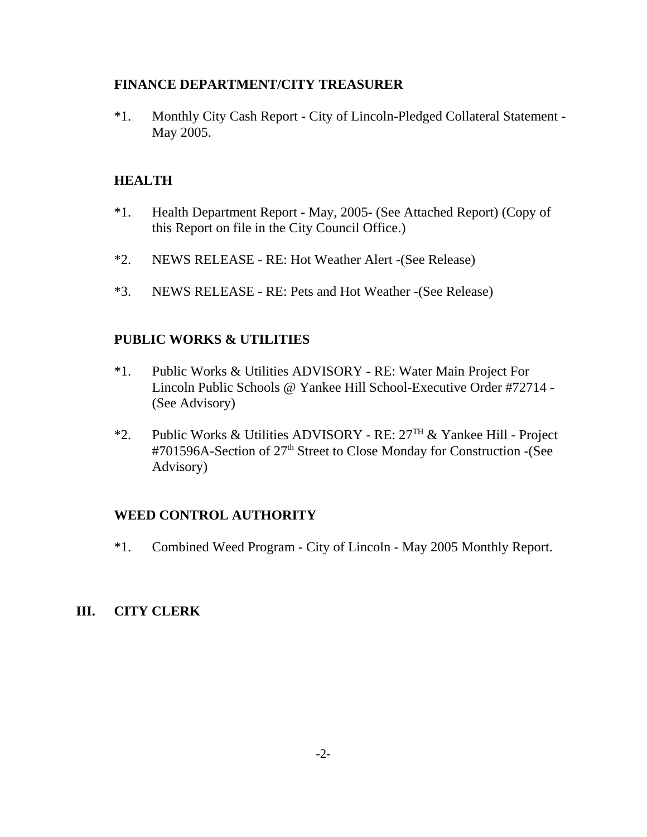#### **FINANCE DEPARTMENT/CITY TREASURER**

\*1. Monthly City Cash Report - City of Lincoln-Pledged Collateral Statement - May 2005.

## **HEALTH**

- \*1. Health Department Report May, 2005- (See Attached Report) (Copy of this Report on file in the City Council Office.)
- \*2. NEWS RELEASE RE: Hot Weather Alert -(See Release)
- \*3. NEWS RELEASE RE: Pets and Hot Weather -(See Release)

## **PUBLIC WORKS & UTILITIES**

- \*1. Public Works & Utilities ADVISORY RE: Water Main Project For Lincoln Public Schools @ Yankee Hill School-Executive Order #72714 - (See Advisory)
- \*2. Public Works & Utilities ADVISORY RE:  $27<sup>TH</sup>$  & Yankee Hill Project #701596A-Section of 27<sup>th</sup> Street to Close Monday for Construction -(See Advisory)

## **WEED CONTROL AUTHORITY**

\*1. Combined Weed Program - City of Lincoln - May 2005 Monthly Report.

## **III. CITY CLERK**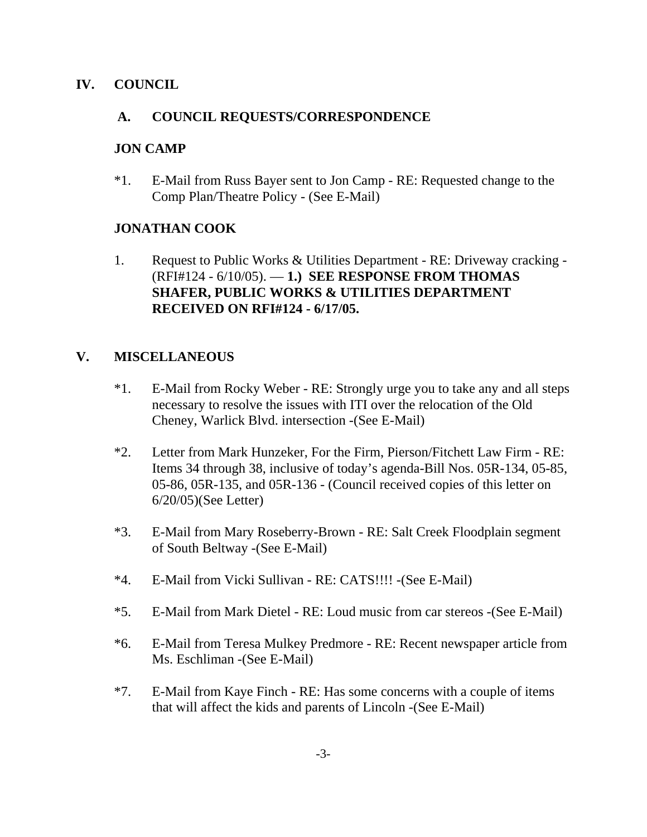### **IV. COUNCIL**

#### **A. COUNCIL REQUESTS/CORRESPONDENCE**

#### **JON CAMP**

\*1. E-Mail from Russ Bayer sent to Jon Camp - RE: Requested change to the Comp Plan/Theatre Policy - (See E-Mail)

# **JONATHAN COOK**

1. Request to Public Works & Utilities Department - RE: Driveway cracking - (RFI#124 - 6/10/05). — **1.) SEE RESPONSE FROM THOMAS SHAFER, PUBLIC WORKS & UTILITIES DEPARTMENT RECEIVED ON RFI#124 - 6/17/05.**

## **V. MISCELLANEOUS**

- \*1. E-Mail from Rocky Weber RE: Strongly urge you to take any and all steps necessary to resolve the issues with ITI over the relocation of the Old Cheney, Warlick Blvd. intersection -(See E-Mail)
- \*2. Letter from Mark Hunzeker, For the Firm, Pierson/Fitchett Law Firm RE: Items 34 through 38, inclusive of today's agenda-Bill Nos. 05R-134, 05-85, 05-86, 05R-135, and 05R-136 - (Council received copies of this letter on 6/20/05)(See Letter)
- \*3. E-Mail from Mary Roseberry-Brown RE: Salt Creek Floodplain segment of South Beltway -(See E-Mail)
- \*4. E-Mail from Vicki Sullivan RE: CATS!!!! -(See E-Mail)
- \*5. E-Mail from Mark Dietel RE: Loud music from car stereos -(See E-Mail)
- \*6. E-Mail from Teresa Mulkey Predmore RE: Recent newspaper article from Ms. Eschliman -(See E-Mail)
- \*7. E-Mail from Kaye Finch RE: Has some concerns with a couple of items that will affect the kids and parents of Lincoln -(See E-Mail)